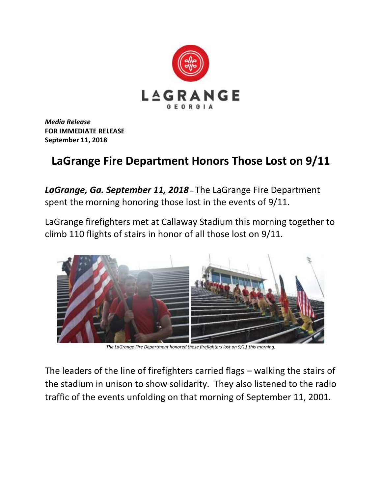

*Media Release* **FOR IMMEDIATE RELEASE September 11, 2018**

## **LaGrange Fire Department Honors Those Lost on 9/11**

*LaGrange, Ga. September 11, 2018* – The LaGrange Fire Department spent the morning honoring those lost in the events of 9/11.

LaGrange firefighters met at Callaway Stadium this morning together to climb 110 flights of stairs in honor of all those lost on 9/11.



*The LaGrange Fire Department honored those firefighters lost on 9/11 this morning.*

The leaders of the line of firefighters carried flags – walking the stairs of the stadium in unison to show solidarity. They also listened to the radio traffic of the events unfolding on that morning of September 11, 2001.